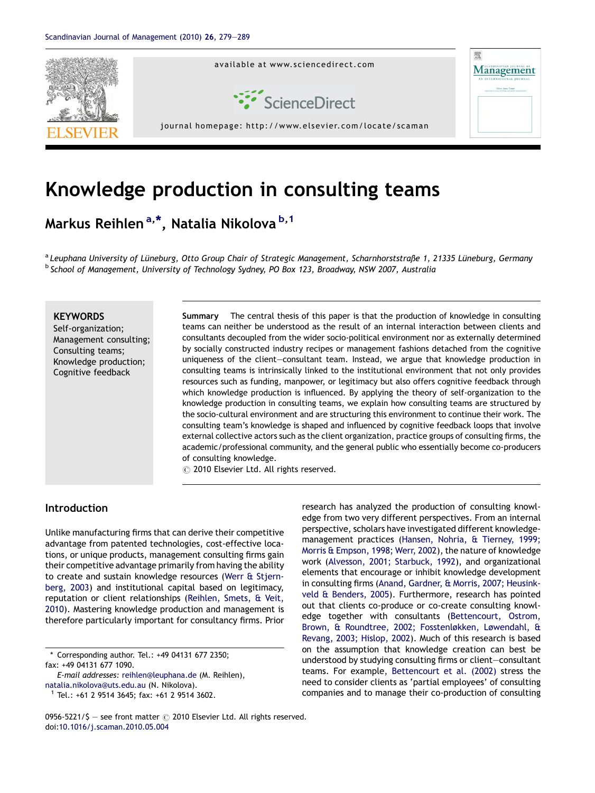

# Knowledge production in consulting teams

Markus Reihlen<sup>a,\*</sup>, Natalia Nikolova <sup>b,1</sup>

<sup>a</sup> Leuphana University of Lüneburg, Otto Group Chair of Strategic Management, Scharnhorststraße 1, 21335 Lüneburg, Germany <sup>b</sup> School of Management, University of Technology Sydney, PO Box 123, Broadway, NSW 2007, Australia

### **KEYWORDS**

Self-organization; Management consulting; Consulting teams; Knowledge production; Cognitive feedback

Summary The central thesis of this paper is that the production of knowledge in consulting teams can neither be understood as the result of an internal interaction between clients and consultants decoupled from the wider socio-political environment nor as externally determined by socially constructed industry recipes or management fashions detached from the cognitive uniqueness of the client—consultant team. Instead, we argue that knowledge production in consulting teams is intrinsically linked to the institutional environment that not only provides resources such as funding, manpower, or legitimacy but also offers cognitive feedback through which knowledge production is influenced. By applying the theory of self-organization to the knowledge production in consulting teams, we explain how consulting teams are structured by the socio-cultural environment and are structuring this environment to continue their work. The consulting team's knowledge is shaped and influenced by cognitive feedback loops that involve external collective actors such as the client organization, practice groups of consulting firms, the academic/professional community, and the general public who essentially become co-producers of consulting knowledge.

 $\odot$  2010 Elsevier Ltd. All rights reserved.

## Introduction

Unlike manufacturing firms that can derive their competitive advantage from patented technologies, cost-effective locations, or unique products, management consulting firms gain their competitive advantage primarily from having the ability to create and sustain knowledge resources ([Werr & Stjern](#page--1-0)[berg, 2003](#page--1-0)) and institutional capital based on legitimacy, reputation or client relationships [\(Reihlen, Smets, & Veit,](#page--1-0) [2010](#page--1-0)). Mastering knowledge production and management is therefore particularly important for consultancy firms. Prior

\* Corresponding author. Tel.: +49 04131 677 2350; fax: +49 04131 677 1090.

E-mail addresses: [reihlen@leuphana.de](mailto:reihlen@leuphana.de) (M. Reihlen), [natalia.nikolova@uts.edu.au](mailto:natalia.nikolova@uts.edu.au) (N. Nikolova).

 $1$  Tel.: +61 2 9514 3645; fax: +61 2 9514 3602.

research has analyzed the production of consulting knowledge from two very different perspectives. From an internal perspective, scholars have investigated different knowledgemanagement practices [\(Hansen, Nohria, & Tierney, 1999;](#page--1-0) [Morris & Empson, 1998; Werr, 2002](#page--1-0)), the nature of knowledge work ([Alvesson, 2001; Starbuck, 1992](#page--1-0)), and organizational elements that encourage or inhibit knowledge development in consulting firms [\(Anand, Gardner, & Morris, 2007; Heusink](#page--1-0)[veld & Benders, 2005\)](#page--1-0). Furthermore, research has pointed out that clients co-produce or co-create consulting knowledge together with consultants [\(Bettencourt, Ostrom,](#page--1-0) [Brown, & Roundtree, 2002; Fosstenløkken, Løwendahl, &](#page--1-0) [Revang, 2003; Hislop, 2002\)](#page--1-0). Much of this research is based on the assumption that knowledge creation can best be understood by studying consulting firms or client—consultant teams. For example, [Bettencourt et al. \(2002\)](#page--1-0) stress the need to consider clients as 'partial employees' of consulting companies and to manage their co-production of consulting

0956-5221/\$ - see front matter  $\odot$  2010 Elsevier Ltd. All rights reserved. doi[:10.1016/j.scaman.2010.05.004](http://dx.doi.org/10.1016/j.scaman.2010.05.004)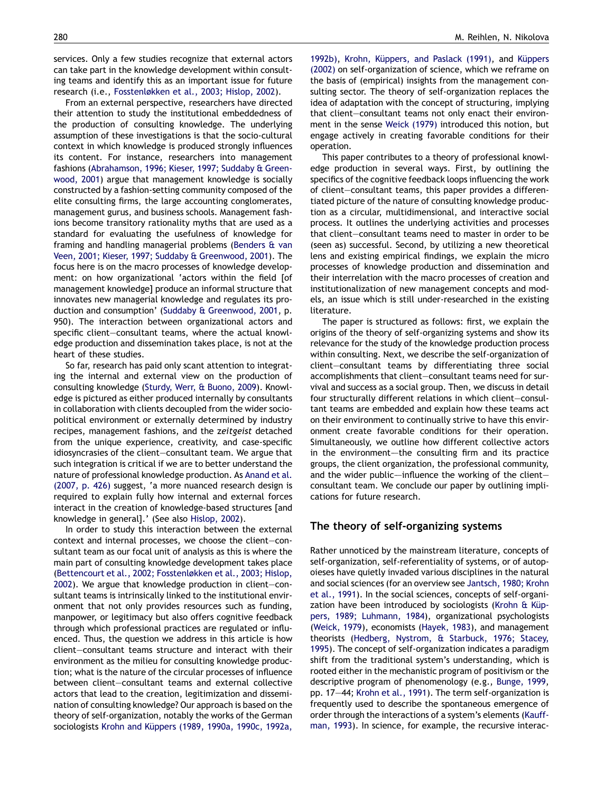services. Only a few studies recognize that external actors can take part in the knowledge development within consulting teams and identify this as an important issue for future research (i.e., [Fosstenløkken et al., 2003; Hislop, 2002](#page--1-0)).

From an external perspective, researchers have directed their attention to study the institutional embeddedness of the production of consulting knowledge. The underlying assumption of these investigations is that the socio-cultural context in which knowledge is produced strongly influences its content. For instance, researchers into management fashions [\(Abrahamson, 1996; Kieser, 1997; Suddaby & Green](#page--1-0)[wood, 2001](#page--1-0)) argue that management knowledge is socially constructed by a fashion-setting community composed of the elite consulting firms, the large accounting conglomerates, management gurus, and business schools. Management fashions become transitory rationality myths that are used as a standard for evaluating the usefulness of knowledge for framing and handling managerial problems [\(Benders & van](#page--1-0) [Veen, 2001; Kieser, 1997; Suddaby & Greenwood, 2001](#page--1-0)). The focus here is on the macro processes of knowledge development: on how organizational 'actors within the field [of management knowledge] produce an informal structure that innovates new managerial knowledge and regulates its production and consumption' ([Suddaby & Greenwood, 2001](#page--1-0), p. 950). The interaction between organizational actors and specific client—consultant teams, where the actual knowledge production and dissemination takes place, is not at the heart of these studies.

So far, research has paid only scant attention to integrating the internal and external view on the production of consulting knowledge [\(Sturdy, Werr, & Buono, 2009\)](#page--1-0). Knowledge is pictured as either produced internally by consultants in collaboration with clients decoupled from the wider sociopolitical environment or externally determined by industry recipes, management fashions, and the zeitgeist detached from the unique experience, creativity, and case-specific idiosyncrasies of the client—consultant team. We argue that such integration is critical if we are to better understand the nature of professional knowledge production. As [Anand et al.](#page--1-0) [\(2007, p. 426\)](#page--1-0) suggest, 'a more nuanced research design is required to explain fully how internal and external forces interact in the creation of knowledge-based structures [and knowledge in general].' (See also [Hislop, 2002](#page--1-0)).

In order to study this interaction between the external context and internal processes, we choose the client—consultant team as our focal unit of analysis as this is where the main part of consulting knowledge development takes place [\(Bettencourt et al., 2002; Fosstenløkken et al., 2003; Hislop,](#page--1-0) [2002](#page--1-0)). We argue that knowledge production in client—consultant teams is intrinsically linked to the institutional environment that not only provides resources such as funding, manpower, or legitimacy but also offers cognitive feedback through which professional practices are regulated or influenced. Thus, the question we address in this article is how client—consultant teams structure and interact with their environment as the milieu for consulting knowledge production; what is the nature of the circular processes of influence between client—consultant teams and external collective actors that lead to the creation, legitimization and dissemination of consulting knowledge? Our approach is based on the theory of self-organization, notably the works of the German sociologists Krohn and Küppers (1989, 1990a, 1990c, 1992a,

[1992b\),](#page--1-0) Krohn, Küppers, and Paslack (1991), and Küppers [\(2002\)](#page--1-0) on self-organization of science, which we reframe on the basis of (empirical) insights from the management consulting sector. The theory of self-organization replaces the idea of adaptation with the concept of structuring, implying that client—consultant teams not only enact their environment in the sense [Weick \(1979\)](#page--1-0) introduced this notion, but engage actively in creating favorable conditions for their operation.

This paper contributes to a theory of professional knowledge production in several ways. First, by outlining the specifics of the cognitive feedback loops influencing the work of client—consultant teams, this paper provides a differentiated picture of the nature of consulting knowledge production as a circular, multidimensional, and interactive social process. It outlines the underlying activities and processes that client—consultant teams need to master in order to be (seen as) successful. Second, by utilizing a new theoretical lens and existing empirical findings, we explain the micro processes of knowledge production and dissemination and their interrelation with the macro processes of creation and institutionalization of new management concepts and models, an issue which is still under-researched in the existing literature.

The paper is structured as follows: first, we explain the origins of the theory of self-organizing systems and show its relevance for the study of the knowledge production process within consulting. Next, we describe the self-organization of client—consultant teams by differentiating three social accomplishments that client—consultant teams need for survival and success as a social group. Then, we discuss in detail four structurally different relations in which client—consultant teams are embedded and explain how these teams act on their environment to continually strive to have this environment create favorable conditions for their operation. Simultaneously, we outline how different collective actors in the environment—the consulting firm and its practice groups, the client organization, the professional community, and the wider public—influence the working of the client– consultant team. We conclude our paper by outlining implications for future research.

#### The theory of self-organizing systems

Rather unnoticed by the mainstream literature, concepts of self-organization, self-referentiality of systems, or of autopoieses have quietly invaded various disciplines in the natural and social sciences (for an overview see [Jantsch, 1980; Krohn](#page--1-0) [et al., 1991\)](#page--1-0). In the social sciences, concepts of self-organization have been introduced by sociologists (Krohn  $\&$  Küp[pers, 1989; Luhmann, 1984](#page--1-0)), organizational psychologists ([Weick, 1979](#page--1-0)), economists [\(Hayek, 1983](#page--1-0)), and management theorists [\(Hedberg, Nystrom, & Starbuck, 1976; Stacey,](#page--1-0) [1995](#page--1-0)). The concept of self-organization indicates a paradigm shift from the traditional system's understanding, which is rooted either in the mechanistic program of positivism or the descriptive program of phenomenology (e.g., [Bunge, 1999,](#page--1-0) pp. 17—44; [Krohn et al., 1991](#page--1-0)). The term self-organization is frequently used to describe the spontaneous emergence of order through the interactions of a system's elements [\(Kauff](#page--1-0)[man, 1993\)](#page--1-0). In science, for example, the recursive interac-